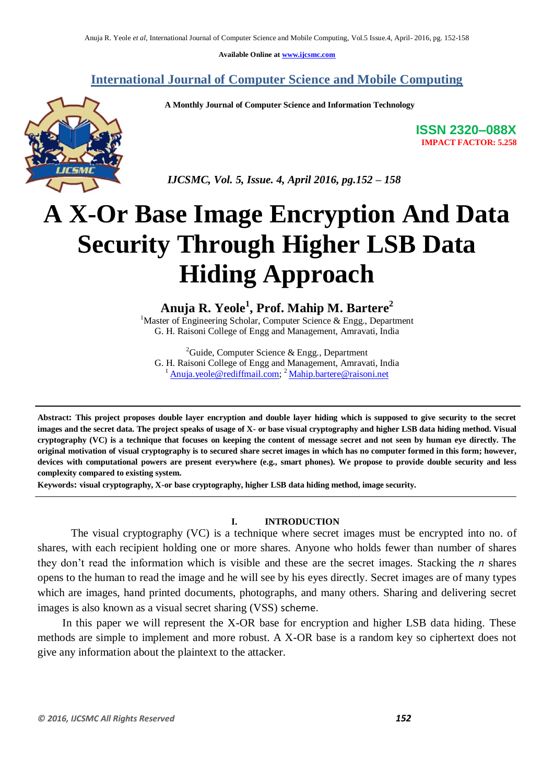**Available Online at www.ijcsmc.com**

**International Journal of Computer Science and Mobile Computing**

 **A Monthly Journal of Computer Science and Information Technology**



**ISSN 2320–088X IMPACT FACTOR: 5.258**

 *IJCSMC, Vol. 5, Issue. 4, April 2016, pg.152 – 158*

# **A X-Or Base Image Encryption And Data Security Through Higher LSB Data Hiding Approach**

**Anuja R. Yeole<sup>1</sup> , Prof. Mahip M. Bartere<sup>2</sup>**

 $1$ Master of Engineering Scholar, Computer Science & Engg., Department G. H. Raisoni College of Engg and Management, Amravati, India

<sup>2</sup>Guide, Computer Science & Engg., Department G. H. Raisoni College of Engg and Management, Amravati, India <sup>1</sup> Anuja.yeole@rediffmail.com; <sup>2</sup> Mahip.bartere@raisoni.net

**Abstract: This project proposes double layer encryption and double layer hiding which is supposed to give security to the secret images and the secret data. The project speaks of usage of X- or base visual cryptography and higher LSB data hiding method. Visual cryptography (VC) is a technique that focuses on keeping the content of message secret and not seen by human eye directly. The original motivation of visual cryptography is to secured share secret images in which has no computer formed in this form; however, devices with computational powers are present everywhere (e.g., smart phones). We propose to provide double security and less complexity compared to existing system.**

**Keywords: visual cryptography, X-or base cryptography, higher LSB data hiding method, image security.**

### **I. INTRODUCTION**

The visual cryptography (VC) is a technique where secret images must be encrypted into no. of shares, with each recipient holding one or more shares. Anyone who holds fewer than number of shares they don't read the information which is visible and these are the secret images. Stacking the *n* shares opens to the human to read the image and he will see by his eyes directly. Secret images are of many types which are images, hand printed documents, photographs, and many others. Sharing and delivering secret images is also known as a visual secret sharing (VSS) scheme.

In this paper we will represent the X-OR base for encryption and higher LSB data hiding. These methods are simple to implement and more robust. A X-OR base is a random key so ciphertext does not give any information about the plaintext to the attacker.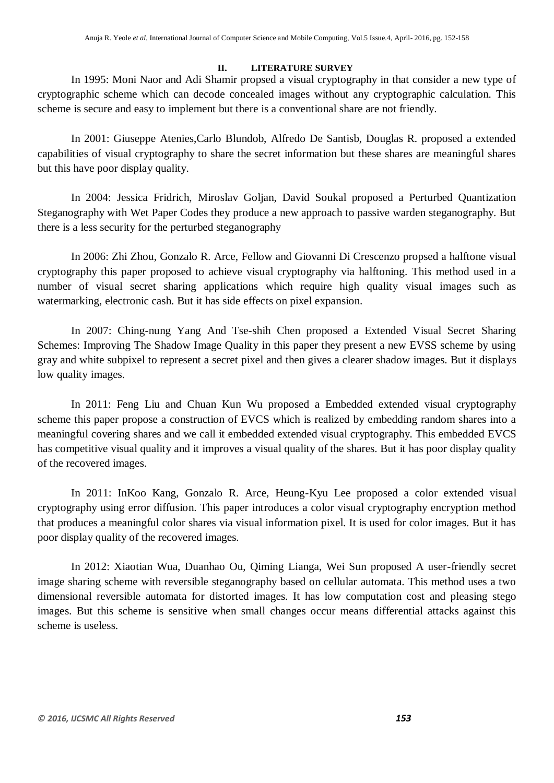# **II. LITERATURE SURVEY**

In 1995: Moni Naor and Adi Shamir propsed a visual cryptography in that consider a new type of cryptographic scheme which can decode concealed images without any cryptographic calculation. This scheme is secure and easy to implement but there is a conventional share are not friendly.

In 2001: Giuseppe Atenies,Carlo Blundob, Alfredo De Santisb, Douglas R. proposed a extended capabilities of visual cryptography to share the secret information but these shares are meaningful shares but this have poor display quality.

In 2004: Jessica Fridrich, Miroslav Goljan, David Soukal proposed a Perturbed Quantization Steganography with Wet Paper Codes they produce a new approach to passive warden steganography. But there is a less security for the perturbed steganography

In 2006: Zhi Zhou, Gonzalo R. Arce, Fellow and Giovanni Di Crescenzo propsed a halftone visual cryptography this paper proposed to achieve visual cryptography via halftoning. This method used in a number of visual secret sharing applications which require high quality visual images such as watermarking, electronic cash. But it has side effects on pixel expansion.

In 2007: Ching-nung Yang And Tse-shih Chen proposed a Extended Visual Secret Sharing Schemes: Improving The Shadow Image Quality in this paper they present a new EVSS scheme by using gray and white subpixel to represent a secret pixel and then gives a clearer shadow images. But it displays low quality images.

In 2011: Feng Liu and Chuan Kun Wu proposed a Embedded extended visual cryptography scheme this paper propose a construction of EVCS which is realized by embedding random shares into a meaningful covering shares and we call it embedded extended visual cryptography. This embedded EVCS has competitive visual quality and it improves a visual quality of the shares. But it has poor display quality of the recovered images.

In 2011: InKoo Kang, Gonzalo R. Arce, Heung-Kyu Lee proposed a color extended visual cryptography using error diffusion. This paper introduces a color visual cryptography encryption method that produces a meaningful color shares via visual information pixel. It is used for color images. But it has poor display quality of the recovered images.

In 2012: Xiaotian Wua, Duanhao Ou, Qiming Lianga, Wei Sun proposed A user-friendly secret image sharing scheme with reversible steganography based on cellular automata. This method uses a two dimensional reversible automata for distorted images. It has low computation cost and pleasing stego images. But this scheme is sensitive when small changes occur means differential attacks against this scheme is useless.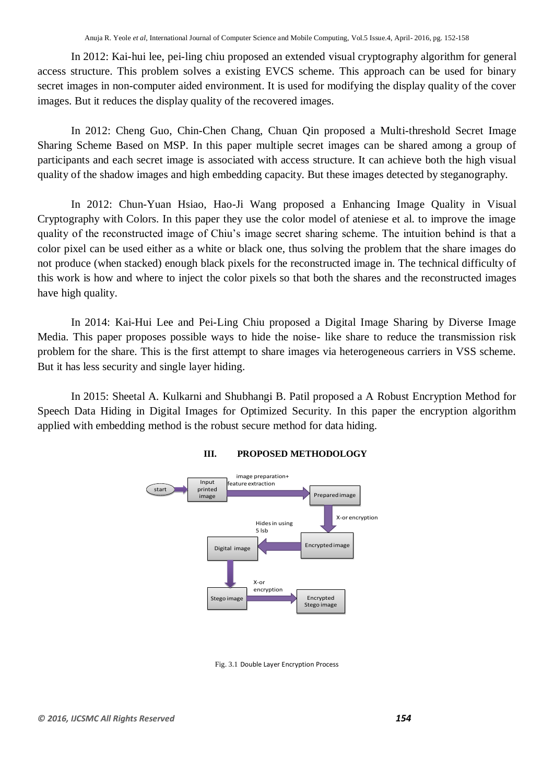In 2012: Kai-hui lee, pei-ling chiu proposed an extended visual cryptography algorithm for general access structure. This problem solves a existing EVCS scheme. This approach can be used for binary secret images in non-computer aided environment. It is used for modifying the display quality of the cover images. But it reduces the display quality of the recovered images.

In 2012: Cheng Guo, Chin-Chen Chang, Chuan Qin proposed a Multi-threshold Secret Image Sharing Scheme Based on MSP. In this paper multiple secret images can be shared among a group of participants and each secret image is associated with access structure. It can achieve both the high visual quality of the shadow images and high embedding capacity. But these images detected by steganography.

In 2012: Chun-Yuan Hsiao, Hao-Ji Wang proposed a Enhancing Image Quality in Visual Cryptography with Colors. In this paper they use the color model of ateniese et al. to improve the image quality of the reconstructed image of Chiu's image secret sharing scheme. The intuition behind is that a color pixel can be used either as a white or black one, thus solving the problem that the share images do not produce (when stacked) enough black pixels for the reconstructed image in. The technical difficulty of this work is how and where to inject the color pixels so that both the shares and the reconstructed images have high quality.

In 2014: Kai-Hui Lee and Pei-Ling Chiu proposed a Digital Image Sharing by Diverse Image Media. This paper proposes possible ways to hide the noise- like share to reduce the transmission risk problem for the share. This is the first attempt to share images via heterogeneous carriers in VSS scheme. But it has less security and single layer hiding.

In 2015: Sheetal A. Kulkarni and Shubhangi B. Patil proposed a A Robust Encryption Method for Speech Data Hiding in Digital Images for Optimized Security. In this paper the encryption algorithm applied with embedding method is the robust secure method for data hiding.



# **III. PROPOSED METHODOLOGY**

Fig. 3.1 Double Layer Encryption Process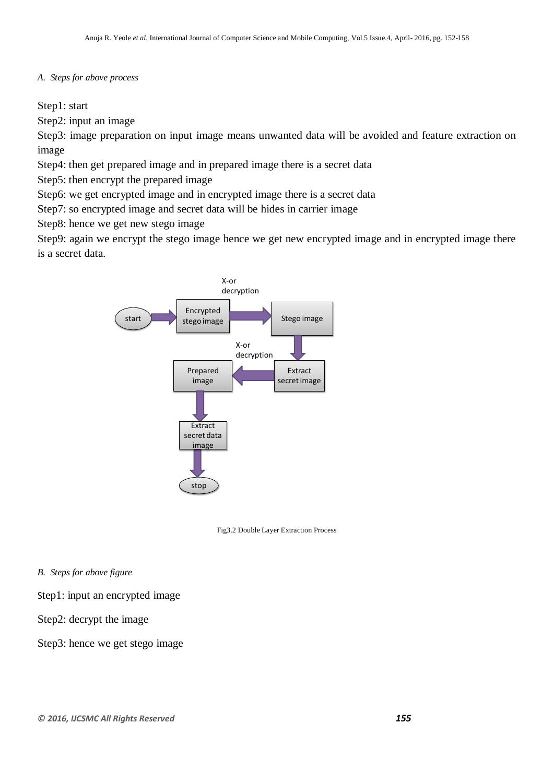## *A. Steps for above process*

Step1: start

Step2: input an image

Step3: image preparation on input image means unwanted data will be avoided and feature extraction on image

Step4: then get prepared image and in prepared image there is a secret data

Step5: then encrypt the prepared image

Step6: we get encrypted image and in encrypted image there is a secret data

Step7: so encrypted image and secret data will be hides in carrier image

Step8: hence we get new stego image

Step9: again we encrypt the stego image hence we get new encrypted image and in encrypted image there is a secret data.



Fig3.2 Double Layer Extraction Process

*B. Steps for above figure*

Step1: input an encrypted image

Step2: decrypt the image

Step3: hence we get stego image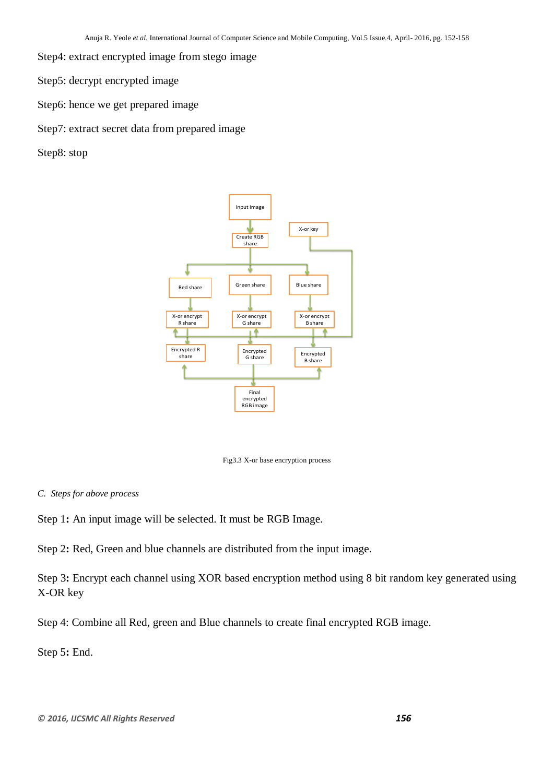- Step4: extract encrypted image from stego image
- Step5: decrypt encrypted image
- Step6: hence we get prepared image
- Step7: extract secret data from prepared image
- Step8: stop



Fig3.3 X-or base encryption process

*C. Steps for above process*

Step 1**:** An input image will be selected. It must be RGB Image.

Step 2**:** Red, Green and blue channels are distributed from the input image.

Step 3**:** Encrypt each channel using XOR based encryption method using 8 bit random key generated using X-OR key

Step 4: Combine all Red, green and Blue channels to create final encrypted RGB image.

Step 5**:** End.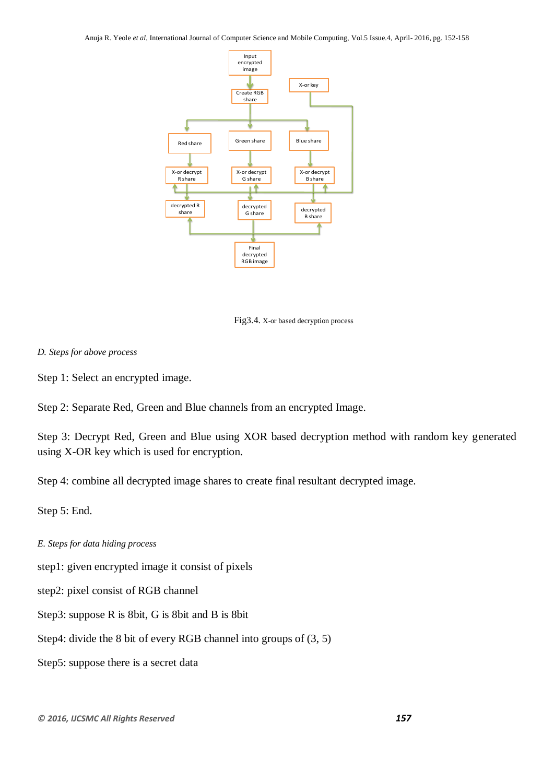Anuja R. Yeole *et al*, International Journal of Computer Science and Mobile Computing, Vol.5 Issue.4, April- 2016, pg. 152-158



Fig3.4. X-or based decryption process

# *D. Steps for above process*

Step 1: Select an encrypted image.

Step 2: Separate Red, Green and Blue channels from an encrypted Image.

Step 3: Decrypt Red, Green and Blue using XOR based decryption method with random key generated using X-OR key which is used for encryption.

Step 4: combine all decrypted image shares to create final resultant decrypted image.

Step 5: End.

*E. Steps for data hiding process*

step1: given encrypted image it consist of pixels

step2: pixel consist of RGB channel

Step3: suppose R is 8bit, G is 8bit and B is 8bit

Step4: divide the 8 bit of every RGB channel into groups of (3, 5)

Step5: suppose there is a secret data